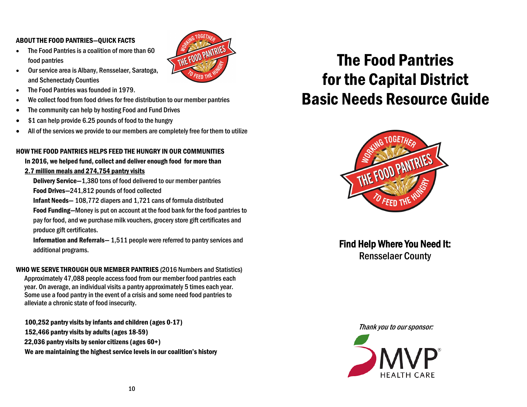#### ABOUT THE FOOD PANTRIES—QUICK FACTS

• The Food Pantries is a coalition of more than 60 food pantries



- The Food Pantries was founded in 1979.
- We collect food from food drives for free distribution to our member pantries
- The community can help by hosting Food and Fund Drives
- \$1 can help provide 6.25 pounds of food to the hungry
- All of the services we provide to our members are completely free for them to utilize

THE FOOD PANTRIES

#### HOW THE FOOD PANTRIES HELPS FEED THE HUNGRY IN OUR COMMUNITIES

In 2016, we helped fund, collect and deliver enough food for more than 2.7 million meals and 274,754 pantry visits

Delivery Service—1,380 tons of food delivered to our member pantries Food Drives—241,812 pounds of food collected

Infant Needs— 108,772 diapers and 1,721 cans of formula distributed

 Food Funding—Money is put on account at the food bank for the food pantries to pay for food, and we purchase milk vouchers, grocery store gift certificates and produce gift certificates.

 Information and Referrals— 1,511 people were referred to pantry services and additional programs.

WHO WE SERVE THROUGH OUR MEMBER PANTRIES (2016 Numbers and Statistics) Approximately 47,088 people access food from our member food pantries each year. On average, an individual visits a pantry approximately 5 times each year. Some use a food pantry in the event of a crisis and some need food pantries to alleviate a chronic state of food insecurity.

100,252 pantry visits by infants and children (ages 0-17) 152,466 pantry visits by adults (ages 18-59) 22,036 pantry visits by senior citizens (ages 60+) We are maintaining the highest service levels in our coalition's history

# The Food Pantries for the Capital District Basic Needs Resource Guide



Find Help Where You Need It: Rensselaer County

Thank you to our sponsor:

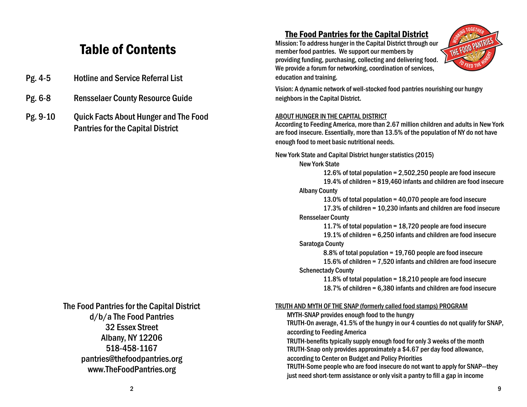## Table of Contents

- Pg. 4-5 Hotline and Service Referral List
- Pg. 6-8 Rensselaer County Resource Guide
- Pg. 9-10 Quick Facts About Hunger and The Food Pantries for the Capital District

#### The Food Pantries for the Capital District d/b/a The Food Pantries 32 Essex Street Albany, NY 12206 518-458-1167 pantries@thefoodpantries.org www.TheFoodPantries.org

#### The Food Pantries for the Capital District

Mission: To address hunger in the Capital District through our member food pantries. We support our members by providing funding, purchasing, collecting and delivering food. We provide a forum for networking, coordination of services, education and training.



Vision: A dynamic network of well-stocked food pantries nourishing our hungry neighbors in the Capital District.

#### ABOUT HUNGER IN THE CAPITAL DISTRICT

According to Feeding America, more than 2.67 million children and adults in New York are food insecure. Essentially, more than 13.5% of the population of NY do not have enough food to meet basic nutritional needs.

New York State and Capital District hunger statistics (2015)

New York State

12.6% of total population = 2,502,250 people are food insecure 19.4% of children = 819,460 infants and children are food insecure Albany County

13.0% of total population = 40,070 people are food insecure 17.3% of children = 10,230 infants and children are food insecure Rensselaer County

11.7% of total population = 18,720 people are food insecure 19.1% of children = 6,250 infants and children are food insecure

#### Saratoga County

8.8% of total population = 19,760 people are food insecure

15.6% of children = 7,520 infants and children are food insecure Schenectady County

11.8% of total population = 18,210 people are food insecure 18.7% of children = 6,380 infants and children are food insecure

#### TRUTH AND MYTH OF THE SNAP (formerly called food stamps) PROGRAM

MYTH-SNAP provides enough food to the hungry

TRUTH-On average, 41.5% of the hungry in our 4 counties do not qualify for SNAP, according to Feeding America

TRUTH-benefits typically supply enough food for only 3 weeks of the month TRUTH-Snap only provides approximately a \$4.67 per day food allowance, according to Center on Budget and Policy Priorities

TRUTH-Some people who are food insecure do not want to apply for SNAP—they just need short-term assistance or only visit a pantry to fill a gap in income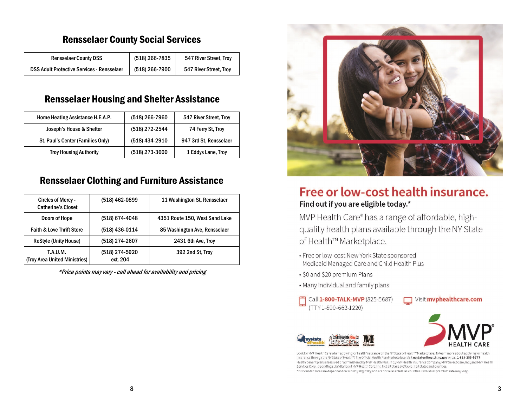## Rensselaer County Social Services

| <b>Rensselaer County DSS</b>                      | (518) 266-7835 | 547 River Street, Troy |
|---------------------------------------------------|----------------|------------------------|
| <b>DSS Adult Protective Services - Rensselaer</b> | (518) 266-7900 | 547 River Street, Troy |

### Rensselaer Housing and Shelter Assistance

| Home Heating Assistance H.E.A.P.  | (518) 266-7960 | 547 River Street, Troy |
|-----------------------------------|----------------|------------------------|
| Joseph's House & Shelter          | (518) 272-2544 | 74 Ferry St, Troy      |
| St. Paul's Center (Families Only) | (518) 434-2910 | 947 3rd St, Rensselaer |
| <b>Troy Housing Authority</b>     | (518) 273-3600 | 1 Eddys Lane, Troy     |

### Rensselaer Clothing and Furniture Assistance

| Circles of Mercy -<br><b>Catherine's Closet</b> | (518) 462-0899             | 11 Washington St, Rensselaer   |
|-------------------------------------------------|----------------------------|--------------------------------|
| Doors of Hope                                   | (518) 674-4048             | 4351 Route 150, West Sand Lake |
| <b>Faith &amp; Love Thrift Store</b>            | (518) 436-0114             | 85 Washington Ave, Rensselaer  |
| <b>ReStyle (Unity House)</b>                    | (518) 274-2607             | 2431 6th Ave, Troy             |
| T.A.U.M.<br>(Troy Area United Ministries)       | (518) 274-5920<br>ext. 204 | 392 2nd St. Troy               |

\*Price points may vary - call ahead for availability and pricing



## Free or low-cost health insurance. Find out if you are eligible today.\*

MVP Health Care® has a range of affordable, highquality health plans available through the NY State of Health™ Marketplace.

- Free or low-cost New York State sponsored Medicaid Managed Care and Child Health Plus
- · \$0 and \$20 premium Plans
- . Many individual and family plans
- Call 1-800-TALK-MVP (825-5687) (TTY 1-800-662-1220)







Look for MVP Health Care when applying for health insurance on the NY State of Health™ Marketplace. To learn more about applying for health insurance through the NY State of Health™, The Official Health Plan Marketplace, visit nystateofhealth.ny.gov or call 1-855-355-5777. Health benefit plans are issued or administered by MVP Health Plan, Inc.; MVP Health Insurance Company; MVP Select Care, Inc.; and MVP Health Services Corp., operating subsidiaries of MVP Health Care, Inc. Not all plans available in all states and counties. \*Discounted rates are dependent on subsidy eligibility and are not available in all counties. Individual premium rate may vary.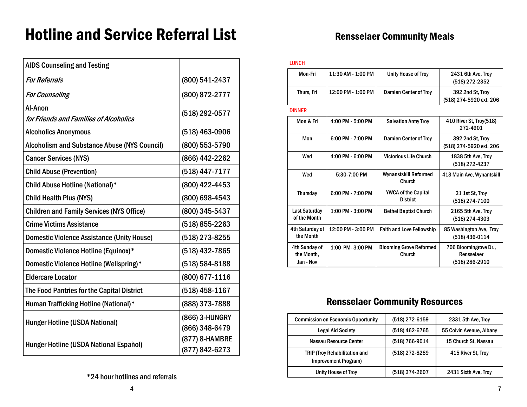# Hotline and Service Referral List

| <b>AIDS Counseling and Testing</b>                  |                                  |
|-----------------------------------------------------|----------------------------------|
| <b>For Referrals</b>                                | (800) 541-2437                   |
| <b>For Counseling</b>                               | (800) 872-2777                   |
| Al-Anon<br>for Friends and Families of Alcoholics   | (518) 292-0577                   |
| <b>Alcoholics Anonymous</b>                         | (518) 463-0906                   |
| <b>Alcoholism and Substance Abuse (NYS Council)</b> | (800) 553-5790                   |
| <b>Cancer Services (NYS)</b>                        | (866) 442-2262                   |
| <b>Child Abuse (Prevention)</b>                     | (518) 447-7177                   |
| Child Abuse Hotline (National)*                     | (800) 422-4453                   |
| <b>Child Health Plus (NYS)</b>                      | (800) 698-4543                   |
| <b>Children and Family Services (NYS Office)</b>    | (800) 345-5437                   |
| <b>Crime Victims Assistance</b>                     | (518) 855-2263                   |
| <b>Domestic Violence Assistance (Unity House)</b>   | (518) 273-8255                   |
| Domestic Violence Hotline (Equinox)*                | (518) 432-7865                   |
| Domestic Violence Hotline (Wellspring)*             | (518) 584-8188                   |
| <b>Eldercare Locator</b>                            | (800) 677-1116                   |
| The Food Pantries for the Capital District          | (518) 458-1167                   |
| Human Trafficking Hotline (National)*               | (888) 373-7888                   |
| <b>Hunger Hotline (USDA National)</b>               | (866) 3-HUNGRY<br>(866) 348-6479 |
| Hunger Hotline (USDA National Español)              | (877) 8-HAMBRE<br>(877) 842-6273 |

| <b>LUNCH</b>                             |                    |                                               |                                                       |
|------------------------------------------|--------------------|-----------------------------------------------|-------------------------------------------------------|
| Mon-Fri                                  | 11:30 AM - 1:00 PM | <b>Unity House of Troy</b>                    | 2431 6th Ave, Troy<br>(518) 272-2352                  |
| Thurs, Fri                               | 12:00 PM - 1:00 PM | <b>Damien Center of Troy</b>                  | 392 2nd St. Troy<br>(518) 274-5920 ext. 206           |
| <b>DINNER</b>                            |                    |                                               |                                                       |
| Mon & Fri                                | 4:00 PM - 5:00 PM  | <b>Salvation Army Troy</b>                    | 410 River St. Troy(518)<br>272-4901                   |
| Mon                                      | 6:00 PM - 7:00 PM  | <b>Damien Center of Troy</b>                  | 392 2nd St. Troy<br>(518) 274-5920 ext. 206           |
| Wed                                      | 4:00 PM - 6:00 PM  | <b>Victorious Life Church</b>                 | 1838 5th Ave, Troy<br>(518) 272-4237                  |
| Wed                                      | 5:30-7:00 PM       | <b>Wynanstskill Reformed</b><br>Church        | 413 Main Ave, Wynantskill                             |
| <b>Thursday</b>                          | 6:00 PM - 7:00 PM  | <b>YWCA of the Capital</b><br><b>District</b> | 21 1st St. Troy<br>(518) 274-7100                     |
| <b>Last Saturday</b><br>of the Month     | 1:00 PM - 3:00 PM  | <b>Bethel Baptist Church</b>                  | 2165 5th Ave, Troy<br>(518) 274-4303                  |
| 4th Saturday of<br>the Month             | 12:00 PM - 3:00 PM | <b>Faith and Love Fellowship</b>              | 85 Washington Ave, Troy<br>(518) 436-0114             |
| 4th Sunday of<br>the Month,<br>Jan - Nov | 1:00 PM-3:00 PM    | <b>Blooming Grove Reformed</b><br>Church      | 706 Bloomingrove Dr.,<br>Rensselaer<br>(518) 286-2910 |

## Rensselaer Community Resources

| <b>Commission on Economic Opportunity</b>                    | (518) 272-6159 | 2331 5th Ave, Troy       |
|--------------------------------------------------------------|----------------|--------------------------|
| <b>Legal Aid Society</b>                                     | (518) 462-6765 | 55 Colvin Avenue, Albany |
| Nassau Resource Center                                       | (518) 766-9014 | 15 Church St, Nassau     |
| <b>TRIP (Troy Rehabilitation and</b><br>Improvement Program) | (518) 272-8289 | 415 River St, Troy       |
| Unity House of Troy                                          | (518) 274-2607 | 2431 Sixth Ave, Troy     |